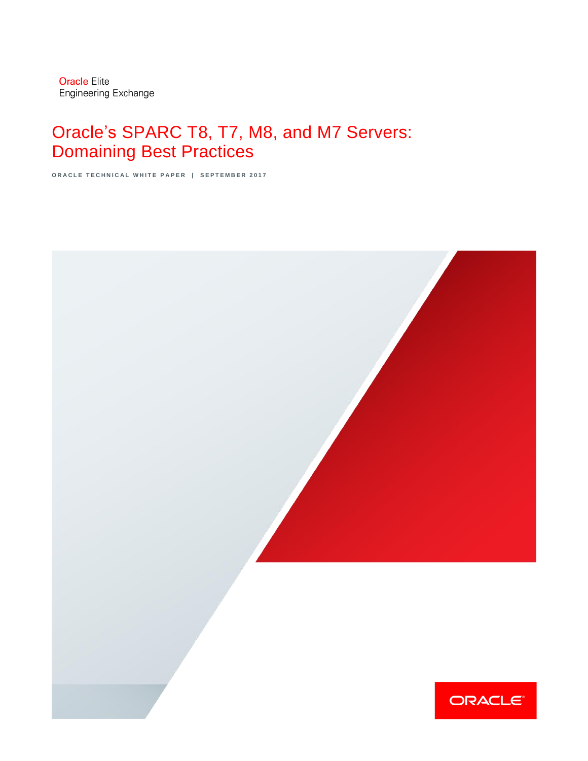# Oracle's SPARC T8, T7, M8, and M7 Servers: Domaining Best Practices

**ORACLE TECHNICAL WHITE PAPER | SEPTEMBER 2017** 

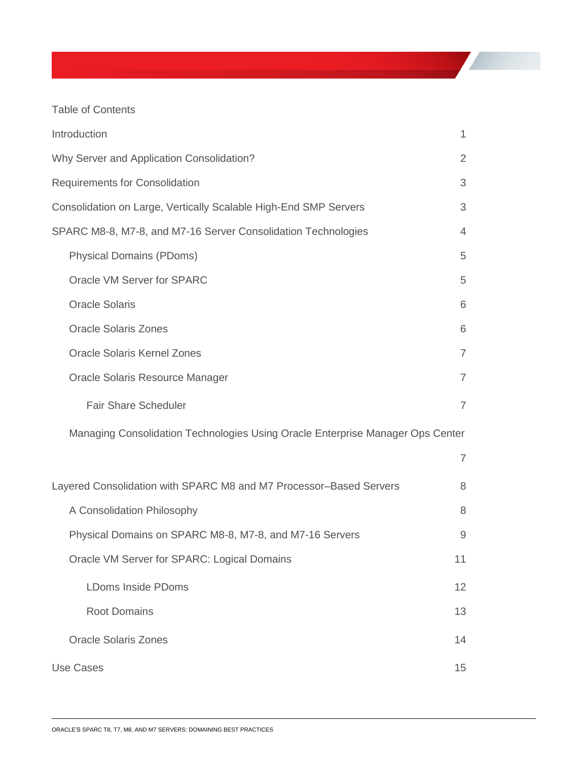Table of Contents

| Introduction                                                                   | 1              |
|--------------------------------------------------------------------------------|----------------|
| Why Server and Application Consolidation?                                      | $\overline{2}$ |
| <b>Requirements for Consolidation</b>                                          | 3              |
| Consolidation on Large, Vertically Scalable High-End SMP Servers               | 3              |
| SPARC M8-8, M7-8, and M7-16 Server Consolidation Technologies                  | $\overline{4}$ |
| <b>Physical Domains (PDoms)</b>                                                | 5              |
| Oracle VM Server for SPARC                                                     | 5              |
| <b>Oracle Solaris</b>                                                          | 6              |
| <b>Oracle Solaris Zones</b>                                                    | 6              |
| <b>Oracle Solaris Kernel Zones</b>                                             | $\overline{7}$ |
| Oracle Solaris Resource Manager                                                | $\overline{7}$ |
| <b>Fair Share Scheduler</b>                                                    | $\overline{7}$ |
| Managing Consolidation Technologies Using Oracle Enterprise Manager Ops Center |                |
|                                                                                | $\overline{7}$ |
| Layered Consolidation with SPARC M8 and M7 Processor-Based Servers             | 8              |
| A Consolidation Philosophy                                                     | 8              |
| Physical Domains on SPARC M8-8, M7-8, and M7-16 Servers                        | 9              |
| Oracle VM Server for SPARC: Logical Domains                                    | 11             |
| <b>LDoms Inside PDoms</b>                                                      | 12             |
| <b>Root Domains</b>                                                            | 13             |
| <b>Oracle Solaris Zones</b>                                                    | 14             |
| <b>Use Cases</b>                                                               | 15             |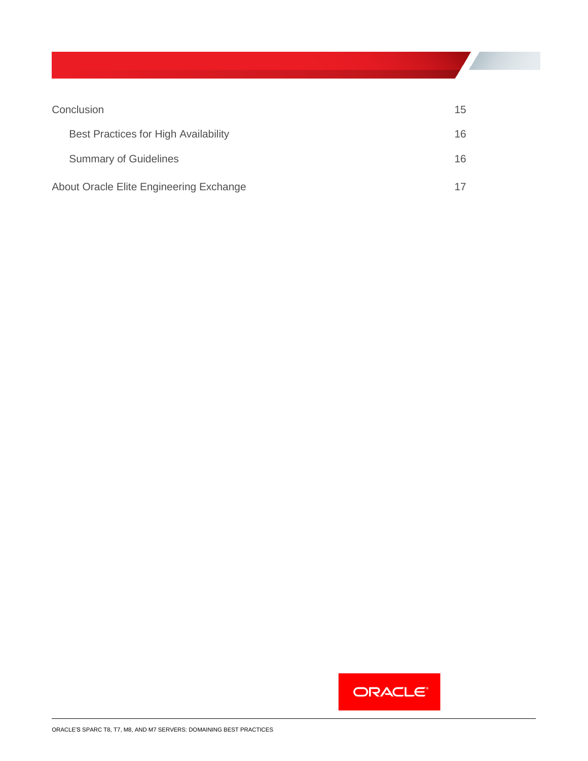| Conclusion                              | 15 <sup>1</sup> |
|-----------------------------------------|-----------------|
| Best Practices for High Availability    | 16.             |
| <b>Summary of Guidelines</b>            | 16.             |
| About Oracle Elite Engineering Exchange |                 |

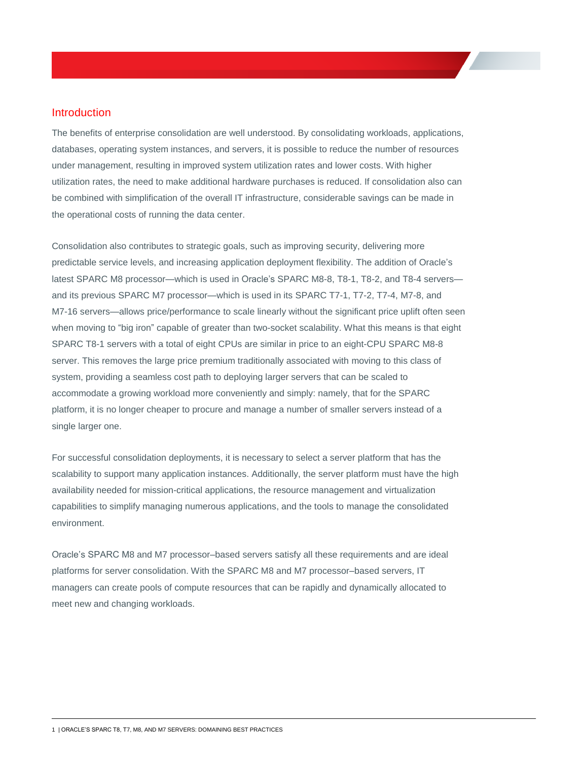# <span id="page-3-0"></span>Introduction

The benefits of enterprise consolidation are well understood. By consolidating workloads, applications, databases, operating system instances, and servers, it is possible to reduce the number of resources under management, resulting in improved system utilization rates and lower costs. With higher utilization rates, the need to make additional hardware purchases is reduced. If consolidation also can be combined with simplification of the overall IT infrastructure, considerable savings can be made in the operational costs of running the data center.

Consolidation also contributes to strategic goals, such as improving security, delivering more predictable service levels, and increasing application deployment flexibility. The addition of Oracle's latest SPARC M8 processor—which is used in Oracle's SPARC M8-8, T8-1, T8-2, and T8-4 servers and its previous SPARC M7 processor—which is used in its SPARC T7-1, T7-2, T7-4, M7-8, and M7-16 servers—allows price/performance to scale linearly without the significant price uplift often seen when moving to "big iron" capable of greater than two-socket scalability. What this means is that eight SPARC T8-1 servers with a total of eight CPUs are similar in price to an eight-CPU SPARC M8-8 server. This removes the large price premium traditionally associated with moving to this class of system, providing a seamless cost path to deploying larger servers that can be scaled to accommodate a growing workload more conveniently and simply: namely, that for the SPARC platform, it is no longer cheaper to procure and manage a number of smaller servers instead of a single larger one.

For successful consolidation deployments, it is necessary to select a server platform that has the scalability to support many application instances. Additionally, the server platform must have the high availability needed for mission-critical applications, the resource management and virtualization capabilities to simplify managing numerous applications, and the tools to manage the consolidated environment.

Oracle's SPARC M8 and M7 processor–based servers satisfy all these requirements and are ideal platforms for server consolidation. With the SPARC M8 and M7 processor–based servers, IT managers can create pools of compute resources that can be rapidly and dynamically allocated to meet new and changing workloads.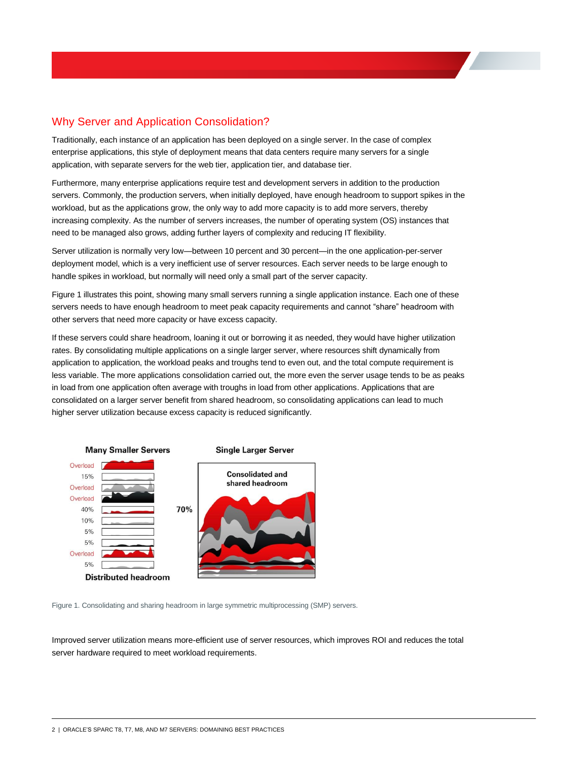# <span id="page-4-0"></span>Why Server and Application Consolidation?

Traditionally, each instance of an application has been deployed on a single server. In the case of complex enterprise applications, this style of deployment means that data centers require many servers for a single application, with separate servers for the web tier, application tier, and database tier.

Furthermore, many enterprise applications require test and development servers in addition to the production servers. Commonly, the production servers, when initially deployed, have enough headroom to support spikes in the workload, but as the applications grow, the only way to add more capacity is to add more servers, thereby increasing complexity. As the number of servers increases, the number of operating system (OS) instances that need to be managed also grows, adding further layers of complexity and reducing IT flexibility.

Server utilization is normally very low—between 10 percent and 30 percent—in the one application-per-server deployment model, which is a very inefficient use of server resources. Each server needs to be large enough to handle spikes in workload, but normally will need only a small part of the server capacity.

Figure 1 illustrates this point, showing many small servers running a single application instance. Each one of these servers needs to have enough headroom to meet peak capacity requirements and cannot "share" headroom with other servers that need more capacity or have excess capacity.

If these servers could share headroom, loaning it out or borrowing it as needed, they would have higher utilization rates. By consolidating multiple applications on a single larger server, where resources shift dynamically from application to application, the workload peaks and troughs tend to even out, and the total compute requirement is less variable. The more applications consolidation carried out, the more even the server usage tends to be as peaks in load from one application often average with troughs in load from other applications. Applications that are consolidated on a larger server benefit from shared headroom, so consolidating applications can lead to much higher server utilization because excess capacity is reduced significantly.



Figure 1. Consolidating and sharing headroom in large symmetric multiprocessing (SMP) servers.

Improved server utilization means more-efficient use of server resources, which improves ROI and reduces the total server hardware required to meet workload requirements.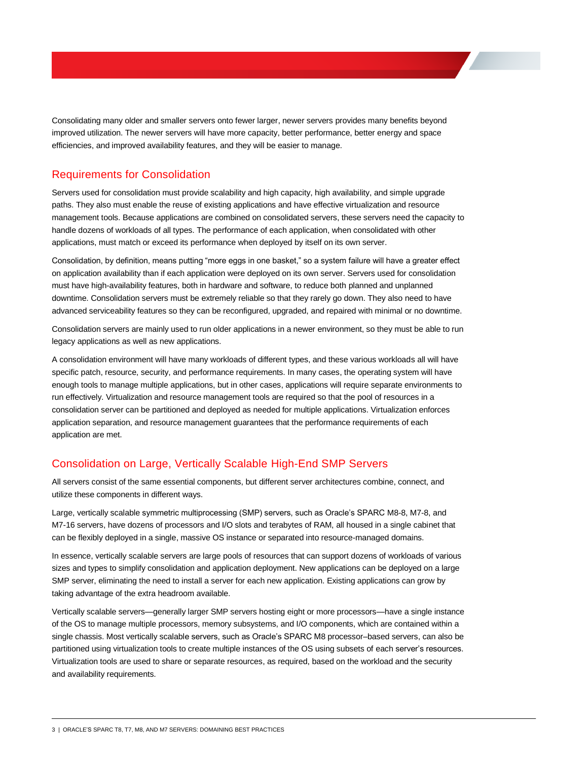Consolidating many older and smaller servers onto fewer larger, newer servers provides many benefits beyond improved utilization. The newer servers will have more capacity, better performance, better energy and space efficiencies, and improved availability features, and they will be easier to manage.

# <span id="page-5-0"></span>Requirements for Consolidation

Servers used for consolidation must provide scalability and high capacity, high availability, and simple upgrade paths. They also must enable the reuse of existing applications and have effective virtualization and resource management tools. Because applications are combined on consolidated servers, these servers need the capacity to handle dozens of workloads of all types. The performance of each application, when consolidated with other applications, must match or exceed its performance when deployed by itself on its own server.

Consolidation, by definition, means putting "more eggs in one basket," so a system failure will have a greater effect on application availability than if each application were deployed on its own server. Servers used for consolidation must have high-availability features, both in hardware and software, to reduce both planned and unplanned downtime. Consolidation servers must be extremely reliable so that they rarely go down. They also need to have advanced serviceability features so they can be reconfigured, upgraded, and repaired with minimal or no downtime.

Consolidation servers are mainly used to run older applications in a newer environment, so they must be able to run legacy applications as well as new applications.

A consolidation environment will have many workloads of different types, and these various workloads all will have specific patch, resource, security, and performance requirements. In many cases, the operating system will have enough tools to manage multiple applications, but in other cases, applications will require separate environments to run effectively. Virtualization and resource management tools are required so that the pool of resources in a consolidation server can be partitioned and deployed as needed for multiple applications. Virtualization enforces application separation, and resource management guarantees that the performance requirements of each application are met.

# <span id="page-5-1"></span>Consolidation on Large, Vertically Scalable High-End SMP Servers

All servers consist of the same essential components, but different server architectures combine, connect, and utilize these components in different ways.

Large, vertically scalable symmetric multiprocessing (SMP) servers, such as Oracle's SPARC M8-8, M7-8, and M7-16 servers, have dozens of processors and I/O slots and terabytes of RAM, all housed in a single cabinet that can be flexibly deployed in a single, massive OS instance or separated into resource-managed domains.

In essence, vertically scalable servers are large pools of resources that can support dozens of workloads of various sizes and types to simplify consolidation and application deployment. New applications can be deployed on a large SMP server, eliminating the need to install a server for each new application. Existing applications can grow by taking advantage of the extra headroom available.

Vertically scalable servers—generally larger SMP servers hosting eight or more processors—have a single instance of the OS to manage multiple processors, memory subsystems, and I/O components, which are contained within a single chassis. Most vertically scalable servers, such as Oracle's SPARC M8 processor–based servers, can also be partitioned using virtualization tools to create multiple instances of the OS using subsets of each server's resources. Virtualization tools are used to share or separate resources, as required, based on the workload and the security and availability requirements.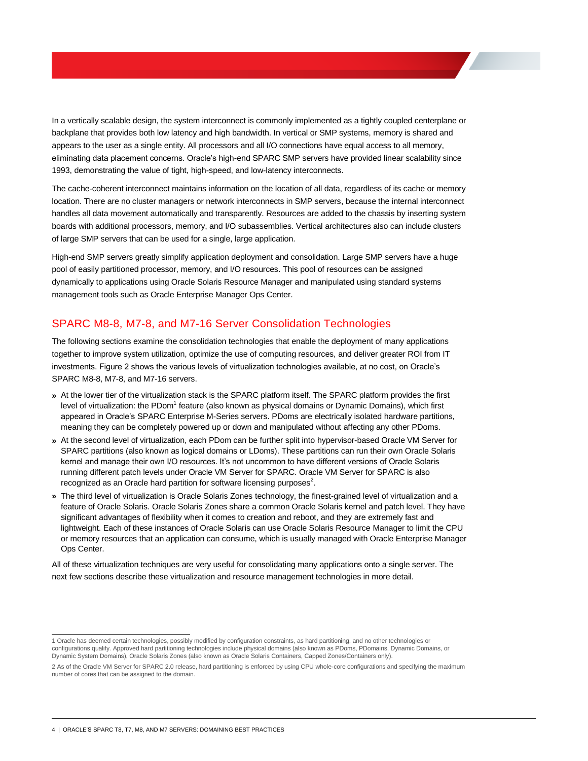In a vertically scalable design, the system interconnect is commonly implemented as a tightly coupled centerplane or backplane that provides both low latency and high bandwidth. In vertical or SMP systems, memory is shared and appears to the user as a single entity. All processors and all I/O connections have equal access to all memory, eliminating data placement concerns. Oracle's high-end SPARC SMP servers have provided linear scalability since 1993, demonstrating the value of tight, high-speed, and low-latency interconnects.

The cache-coherent interconnect maintains information on the location of all data, regardless of its cache or memory location. There are no cluster managers or network interconnects in SMP servers, because the internal interconnect handles all data movement automatically and transparently. Resources are added to the chassis by inserting system boards with additional processors, memory, and I/O subassemblies. Vertical architectures also can include clusters of large SMP servers that can be used for a single, large application.

High-end SMP servers greatly simplify application deployment and consolidation. Large SMP servers have a huge pool of easily partitioned processor, memory, and I/O resources. This pool of resources can be assigned dynamically to applications using Oracle Solaris Resource Manager and manipulated using standard systems management tools such as Oracle Enterprise Manager Ops Center.

# <span id="page-6-0"></span>SPARC M8-8, M7-8, and M7-16 Server Consolidation Technologies

The following sections examine the consolidation technologies that enable the deployment of many applications together to improve system utilization, optimize the use of computing resources, and deliver greater ROI from IT investments. Figure 2 shows the various levels of virtualization technologies available, at no cost, on Oracle's SPARC M8-8, M7-8, and M7-16 servers.

- **»** At the lower tier of the virtualization stack is the SPARC platform itself. The SPARC platform provides the first level of virtualization: the PDom<sup>1</sup> feature (also known as physical domains or Dynamic Domains), which first appeared in Oracle's SPARC Enterprise M-Series servers. PDoms are electrically isolated hardware partitions, meaning they can be completely powered up or down and manipulated without affecting any other PDoms.
- **»** At the second level of virtualization, each PDom can be further split into hypervisor-based Oracle VM Server for SPARC partitions (also known as logical domains or LDoms). These partitions can run their own Oracle Solaris kernel and manage their own I/O resources. It's not uncommon to have different versions of Oracle Solaris running different patch levels under Oracle VM Server for SPARC. Oracle VM Server for SPARC is also recognized as an Oracle hard partition for software licensing purposes<sup>2</sup>.
- **»** The third level of virtualization is Oracle Solaris Zones technology, the finest-grained level of virtualization and a feature of Oracle Solaris. Oracle Solaris Zones share a common Oracle Solaris kernel and patch level. They have significant advantages of flexibility when it comes to creation and reboot, and they are extremely fast and lightweight. Each of these instances of Oracle Solaris can use Oracle Solaris Resource Manager to limit the CPU or memory resources that an application can consume, which is usually managed with Oracle Enterprise Manager Ops Center.

All of these virtualization techniques are very useful for consolidating many applications onto a single server. The next few sections describe these virtualization and resource management technologies in more detail.

 1 Oracle has deemed certain technologies, possibly modified by configuration constraints, as hard partitioning, and no other technologies or configurations qualify. Approved hard partitioning technologies include physical domains (also known as PDoms, PDomains, Dynamic Domains, or Dynamic System Domains), Oracle Solaris Zones (also known as Oracle Solaris Containers, Capped Zones/Containers only).

<sup>2</sup> As of the Oracle VM Server for SPARC 2.0 release, hard partitioning is enforced by using CPU whole-core configurations and specifying the maximum number of cores that can be assigned to the domain.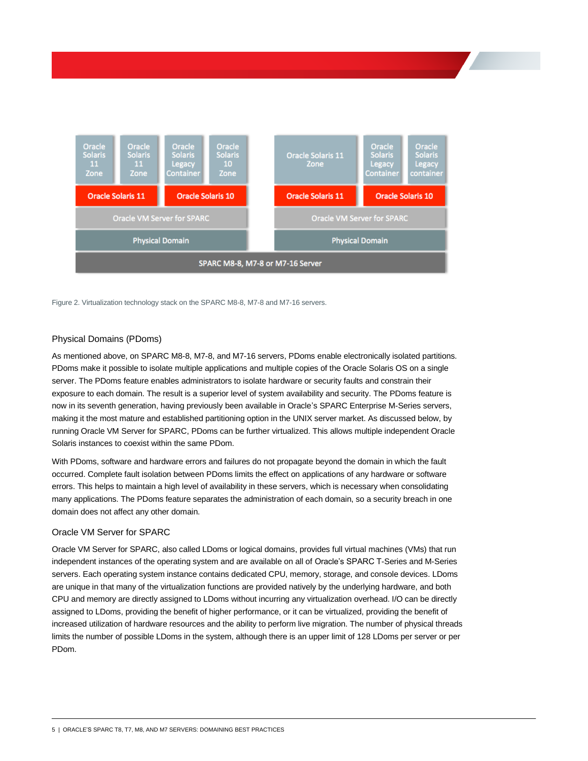

Figure 2. Virtualization technology stack on the SPARC M8-8, M7-8 and M7-16 servers.

# <span id="page-7-0"></span>Physical Domains (PDoms)

As mentioned above, on SPARC M8-8, M7-8, and M7-16 servers, PDoms enable electronically isolated partitions. PDoms make it possible to isolate multiple applications and multiple copies of the Oracle Solaris OS on a single server. The PDoms feature enables administrators to isolate hardware or security faults and constrain their exposure to each domain. The result is a superior level of system availability and security. The PDoms feature is now in its seventh generation, having previously been available in Oracle's SPARC Enterprise M-Series servers, making it the most mature and established partitioning option in the UNIX server market. As discussed below, by running Oracle VM Server for SPARC, PDoms can be further virtualized. This allows multiple independent Oracle Solaris instances to coexist within the same PDom.

With PDoms, software and hardware errors and failures do not propagate beyond the domain in which the fault occurred. Complete fault isolation between PDoms limits the effect on applications of any hardware or software errors. This helps to maintain a high level of availability in these servers, which is necessary when consolidating many applications. The PDoms feature separates the administration of each domain, so a security breach in one domain does not affect any other domain.

## <span id="page-7-1"></span>Oracle VM Server for SPARC

Oracle VM Server for SPARC, also called LDoms or logical domains, provides full virtual machines (VMs) that run independent instances of the operating system and are available on all of Oracle's SPARC T-Series and M-Series servers. Each operating system instance contains dedicated CPU, memory, storage, and console devices. LDoms are unique in that many of the virtualization functions are provided natively by the underlying hardware, and both CPU and memory are directly assigned to LDoms without incurring any virtualization overhead. I/O can be directly assigned to LDoms, providing the benefit of higher performance, or it can be virtualized, providing the benefit of increased utilization of hardware resources and the ability to perform live migration. The number of physical threads limits the number of possible LDoms in the system, although there is an upper limit of 128 LDoms per server or per PDom.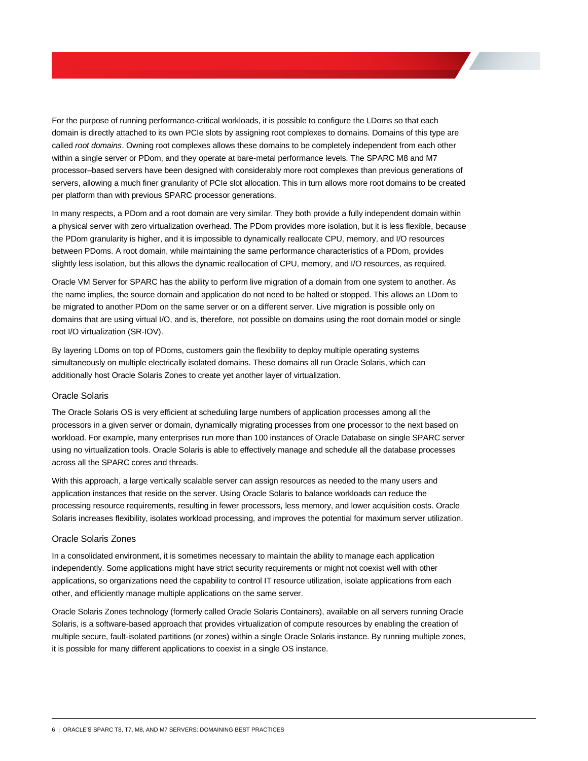For the purpose of running performance-critical workloads, it is possible to configure the LDoms so that each domain is directly attached to its own PCIe slots by assigning root complexes to domains. Domains of this type are called *root domains*. Owning root complexes allows these domains to be completely independent from each other within a single server or PDom, and they operate at bare-metal performance levels. The SPARC M8 and M7 processor–based servers have been designed with considerably more root complexes than previous generations of servers, allowing a much finer granularity of PCIe slot allocation. This in turn allows more root domains to be created per platform than with previous SPARC processor generations.

In many respects, a PDom and a root domain are very similar. They both provide a fully independent domain within a physical server with zero virtualization overhead. The PDom provides more isolation, but it is less flexible, because the PDom granularity is higher, and it is impossible to dynamically reallocate CPU, memory, and I/O resources between PDoms. A root domain, while maintaining the same performance characteristics of a PDom, provides slightly less isolation, but this allows the dynamic reallocation of CPU, memory, and I/O resources, as required.

Oracle VM Server for SPARC has the ability to perform live migration of a domain from one system to another. As the name implies, the source domain and application do not need to be halted or stopped. This allows an LDom to be migrated to another PDom on the same server or on a different server. Live migration is possible only on domains that are using virtual I/O, and is, therefore, not possible on domains using the root domain model or single root I/O virtualization (SR-IOV).

By layering LDoms on top of PDoms, customers gain the flexibility to deploy multiple operating systems simultaneously on multiple electrically isolated domains. These domains all run Oracle Solaris, which can additionally host Oracle Solaris Zones to create yet another layer of virtualization.

# <span id="page-8-0"></span>Oracle Solaris

The Oracle Solaris OS is very efficient at scheduling large numbers of application processes among all the processors in a given server or domain, dynamically migrating processes from one processor to the next based on workload. For example, many enterprises run more than 100 instances of Oracle Database on single SPARC server using no virtualization tools. Oracle Solaris is able to effectively manage and schedule all the database processes across all the SPARC cores and threads.

With this approach, a large vertically scalable server can assign resources as needed to the many users and application instances that reside on the server. Using Oracle Solaris to balance workloads can reduce the processing resource requirements, resulting in fewer processors, less memory, and lower acquisition costs. Oracle Solaris increases flexibility, isolates workload processing, and improves the potential for maximum server utilization.

# <span id="page-8-1"></span>Oracle Solaris Zones

In a consolidated environment, it is sometimes necessary to maintain the ability to manage each application independently. Some applications might have strict security requirements or might not coexist well with other applications, so organizations need the capability to control IT resource utilization, isolate applications from each other, and efficiently manage multiple applications on the same server.

Oracle Solaris Zones technology (formerly called Oracle Solaris Containers), available on all servers running Oracle Solaris, is a software-based approach that provides virtualization of compute resources by enabling the creation of multiple secure, fault-isolated partitions (or zones) within a single Oracle Solaris instance. By running multiple zones, it is possible for many different applications to coexist in a single OS instance.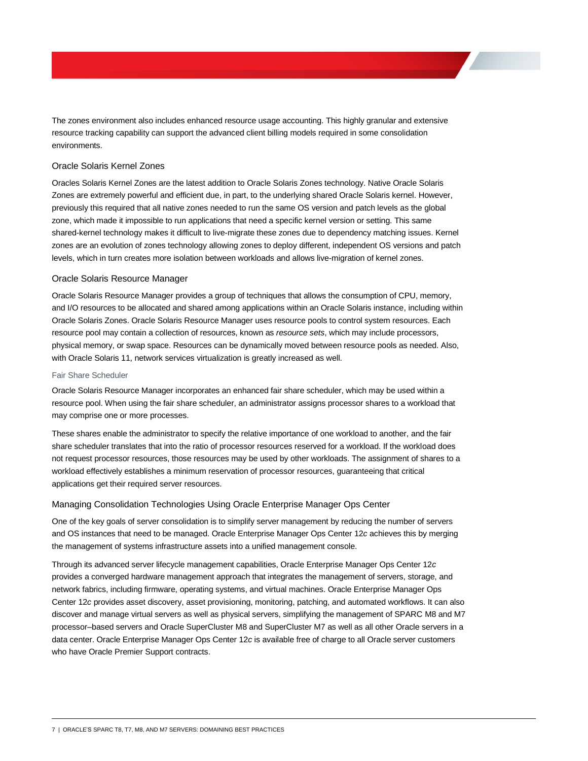The zones environment also includes enhanced resource usage accounting. This highly granular and extensive resource tracking capability can support the advanced client billing models required in some consolidation environments.

# <span id="page-9-0"></span>Oracle Solaris Kernel Zones

Oracles Solaris Kernel Zones are the latest addition to Oracle Solaris Zones technology. Native Oracle Solaris Zones are extremely powerful and efficient due, in part, to the underlying shared Oracle Solaris kernel. However, previously this required that all native zones needed to run the same OS version and patch levels as the global zone, which made it impossible to run applications that need a specific kernel version or setting. This same shared-kernel technology makes it difficult to live-migrate these zones due to dependency matching issues. Kernel zones are an evolution of zones technology allowing zones to deploy different, independent OS versions and patch levels, which in turn creates more isolation between workloads and allows live-migration of kernel zones.

## <span id="page-9-1"></span>Oracle Solaris Resource Manager

Oracle Solaris Resource Manager provides a group of techniques that allows the consumption of CPU, memory, and I/O resources to be allocated and shared among applications within an Oracle Solaris instance, including within Oracle Solaris Zones. Oracle Solaris Resource Manager uses resource pools to control system resources. Each resource pool may contain a collection of resources, known as *resource sets*, which may include processors, physical memory, or swap space. Resources can be dynamically moved between resource pools as needed. Also, with Oracle Solaris 11, network services virtualization is greatly increased as well.

## <span id="page-9-2"></span>Fair Share Scheduler

Oracle Solaris Resource Manager incorporates an enhanced fair share scheduler, which may be used within a resource pool. When using the fair share scheduler, an administrator assigns processor shares to a workload that may comprise one or more processes.

These shares enable the administrator to specify the relative importance of one workload to another, and the fair share scheduler translates that into the ratio of processor resources reserved for a workload. If the workload does not request processor resources, those resources may be used by other workloads. The assignment of shares to a workload effectively establishes a minimum reservation of processor resources, guaranteeing that critical applications get their required server resources.

## <span id="page-9-3"></span>Managing Consolidation Technologies Using Oracle Enterprise Manager Ops Center

One of the key goals of server consolidation is to simplify server management by reducing the number of servers and OS instances that need to be managed. Oracle Enterprise Manager Ops Center 12*c* achieves this by merging the management of systems infrastructure assets into a unified management console.

Through its advanced server lifecycle management capabilities, Oracle Enterprise Manager Ops Center 12*c* provides a converged hardware management approach that integrates the management of servers, storage, and network fabrics, including firmware, operating systems, and virtual machines. Oracle Enterprise Manager Ops Center 12*c* provides asset discovery, asset provisioning, monitoring, patching, and automated workflows. It can also discover and manage virtual servers as well as physical servers, simplifying the management of SPARC M8 and M7 processor–based servers and Oracle SuperCluster M8 and SuperCluster M7 as well as all other Oracle servers in a data center. Oracle Enterprise Manager Ops Center 12*c* is available free of charge to all Oracle server customers who have Oracle Premier Support contracts.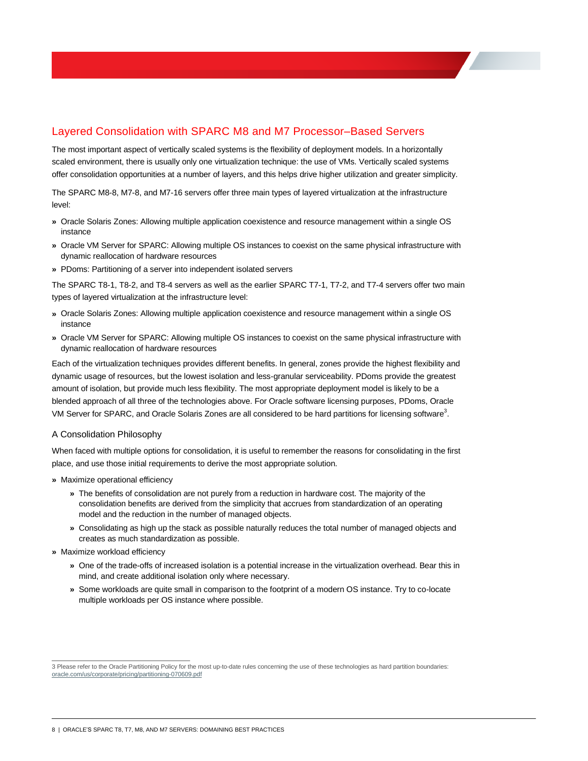# <span id="page-10-0"></span>Layered Consolidation with SPARC M8 and M7 Processor–Based Servers

The most important aspect of vertically scaled systems is the flexibility of deployment models. In a horizontally scaled environment, there is usually only one virtualization technique: the use of VMs. Vertically scaled systems offer consolidation opportunities at a number of layers, and this helps drive higher utilization and greater simplicity.

The SPARC M8-8, M7-8, and M7-16 servers offer three main types of layered virtualization at the infrastructure level:

- **»** Oracle Solaris Zones: Allowing multiple application coexistence and resource management within a single OS instance
- **»** Oracle VM Server for SPARC: Allowing multiple OS instances to coexist on the same physical infrastructure with dynamic reallocation of hardware resources
- **»** PDoms: Partitioning of a server into independent isolated servers

The SPARC T8-1, T8-2, and T8-4 servers as well as the earlier SPARC T7-1, T7-2, and T7-4 servers offer two main types of layered virtualization at the infrastructure level:

- **»** Oracle Solaris Zones: Allowing multiple application coexistence and resource management within a single OS instance
- **»** Oracle VM Server for SPARC: Allowing multiple OS instances to coexist on the same physical infrastructure with dynamic reallocation of hardware resources

Each of the virtualization techniques provides different benefits. In general, zones provide the highest flexibility and dynamic usage of resources, but the lowest isolation and less-granular serviceability. PDoms provide the greatest amount of isolation, but provide much less flexibility. The most appropriate deployment model is likely to be a blended approach of all three of the technologies above. For Oracle software licensing purposes, PDoms, Oracle VM Server for SPARC, and Oracle Solaris Zones are all considered to be hard partitions for licensing software $^3$ .

## <span id="page-10-1"></span>A Consolidation Philosophy

When faced with multiple options for consolidation, it is useful to remember the reasons for consolidating in the first place, and use those initial requirements to derive the most appropriate solution.

- **»** Maximize operational efficiency
	- **»** The benefits of consolidation are not purely from a reduction in hardware cost. The majority of the consolidation benefits are derived from the simplicity that accrues from standardization of an operating model and the reduction in the number of managed objects.
	- **»** Consolidating as high up the stack as possible naturally reduces the total number of managed objects and creates as much standardization as possible.
- **»** Maximize workload efficiency
	- **»** One of the trade-offs of increased isolation is a potential increase in the virtualization overhead. Bear this in mind, and create additional isolation only where necessary.
	- **»** Some workloads are quite small in comparison to the footprint of a modern OS instance. Try to co-locate multiple workloads per OS instance where possible.

 3 Please refer to the Oracle Partitioning Policy for the most up-to-date rules concerning the use of these technologies as hard partition boundaries: [oracle.com/us/corporate/pricing/partitioning-070609.pdf](http://www.oracle.com/us/corporate/pricing/partitioning-070609.pdf)

<sup>8 |</sup> ORACLE'S SPARC T8, T7, M8, AND M7 SERVERS: DOMAINING BEST PRACTICES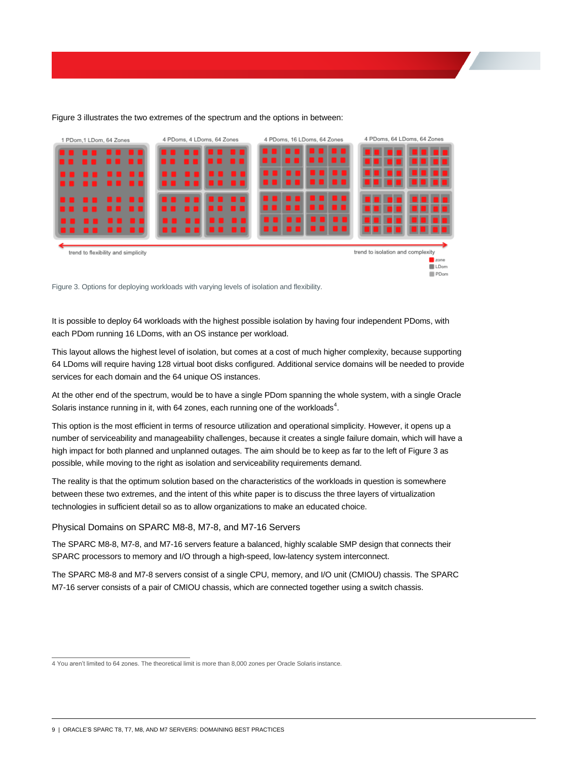

#### Figure 3 illustrates the two extremes of the spectrum and the options in between:

Figure 3. Options for deploying workloads with varying levels of isolation and flexibility.

It is possible to deploy 64 workloads with the highest possible isolation by having four independent PDoms, with each PDom running 16 LDoms, with an OS instance per workload.

This layout allows the highest level of isolation, but comes at a cost of much higher complexity, because supporting 64 LDoms will require having 128 virtual boot disks configured. Additional service domains will be needed to provide services for each domain and the 64 unique OS instances.

At the other end of the spectrum, would be to have a single PDom spanning the whole system, with a single Oracle Solaris instance running in it, with 64 zones, each running one of the workloads $4$ .

This option is the most efficient in terms of resource utilization and operational simplicity. However, it opens up a number of serviceability and manageability challenges, because it creates a single failure domain, which will have a high impact for both planned and unplanned outages. The aim should be to keep as far to the left of Figure 3 as possible, while moving to the right as isolation and serviceability requirements demand.

The reality is that the optimum solution based on the characteristics of the workloads in question is somewhere between these two extremes, and the intent of this white paper is to discuss the three layers of virtualization technologies in sufficient detail so as to allow organizations to make an educated choice.

<span id="page-11-0"></span>Physical Domains on SPARC M8-8, M7-8, and M7-16 Servers

The SPARC M8-8, M7-8, and M7-16 servers feature a balanced, highly scalable SMP design that connects their SPARC processors to memory and I/O through a high-speed, low-latency system interconnect.

The SPARC M8-8 and M7-8 servers consist of a single CPU, memory, and I/O unit (CMIOU) chassis. The SPARC M7-16 server consists of a pair of CMIOU chassis, which are connected together using a switch chassis.

 4 You aren't limited to 64 zones. The theoretical limit is more than 8,000 zones per Oracle Solaris instance.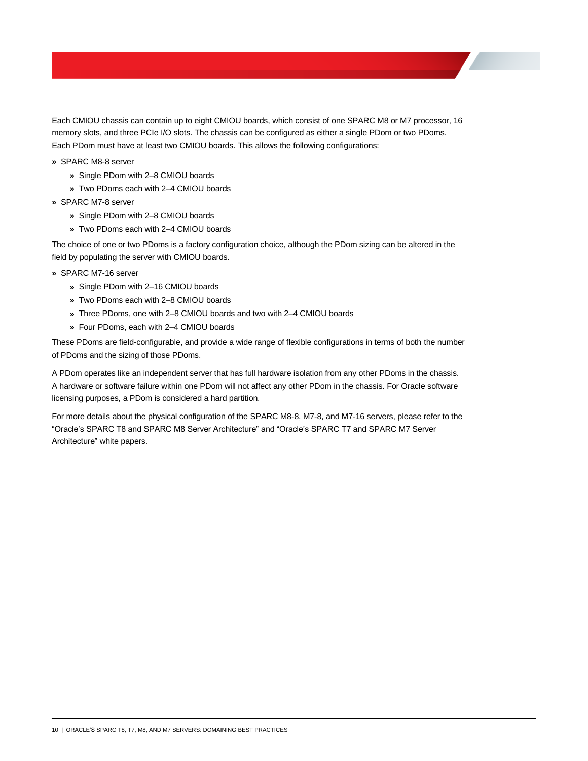Each CMIOU chassis can contain up to eight CMIOU boards, which consist of one SPARC M8 or M7 processor, 16 memory slots, and three PCIe I/O slots. The chassis can be configured as either a single PDom or two PDoms. Each PDom must have at least two CMIOU boards. This allows the following configurations:

- **»** SPARC M8-8 server
	- **»** Single PDom with 2–8 CMIOU boards
	- **»** Two PDoms each with 2–4 CMIOU boards
- **»** SPARC M7-8 server
	- **»** Single PDom with 2–8 CMIOU boards
	- **»** Two PDoms each with 2–4 CMIOU boards

The choice of one or two PDoms is a factory configuration choice, although the PDom sizing can be altered in the field by populating the server with CMIOU boards.

- **»** SPARC M7-16 server
	- **»** Single PDom with 2–16 CMIOU boards
	- **»** Two PDoms each with 2–8 CMIOU boards
	- **»** Three PDoms, one with 2–8 CMIOU boards and two with 2–4 CMIOU boards
	- **»** Four PDoms, each with 2–4 CMIOU boards

These PDoms are field-configurable, and provide a wide range of flexible configurations in terms of both the number of PDoms and the sizing of those PDoms.

A PDom operates like an independent server that has full hardware isolation from any other PDoms in the chassis. A hardware or software failure within one PDom will not affect any other PDom in the chassis. For Oracle software licensing purposes, a PDom is considered a hard partition.

For more details about the physical configuration of the SPARC M8-8, M7-8, and M7-16 servers, please refer to the "Oracle's SPARC T8 and SPARC M8 Server Architecture" and "Oracle's SPARC T7 and SPARC M7 Server Architecture" white papers.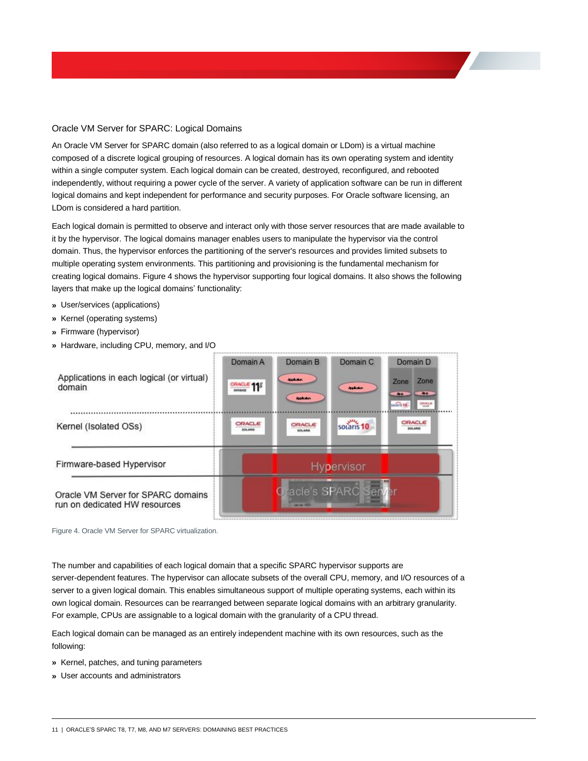# <span id="page-13-0"></span>Oracle VM Server for SPARC: Logical Domains

An Oracle VM Server for SPARC domain (also referred to as a logical domain or LDom) is a virtual machine composed of a discrete logical grouping of resources. A logical domain has its own operating system and identity within a single computer system. Each logical domain can be created, destroyed, reconfigured, and rebooted independently, without requiring a power cycle of the server. A variety of application software can be run in different logical domains and kept independent for performance and security purposes. For Oracle software licensing, an LDom is considered a hard partition.

Each logical domain is permitted to observe and interact only with those server resources that are made available to it by the hypervisor. The logical domains manager enables users to manipulate the hypervisor via the control domain. Thus, the hypervisor enforces the partitioning of the server's resources and provides limited subsets to multiple operating system environments. This partitioning and provisioning is the fundamental mechanism for creating logical domains. Figure 4 shows the hypervisor supporting four logical domains. It also shows the following layers that make up the logical domains' functionality:

- **»** User/services (applications)
- **»** Kernel (operating systems)
- **»** Firmware (hypervisor)
- **»** Hardware, including CPU, memory, and I/O

| Applications in each logical (or virtual)<br>domain                 | Domain A<br>$C$ RACLE 118 | Domain B<br><b>Includes</b><br><b>Application</b> | Domain C<br><b>depletion</b> | Domain D<br>Zone<br>Zone<br><b>APP</b><br><b>APP</b><br>socaris 18<br><b>CRIACLAS</b> |
|---------------------------------------------------------------------|---------------------------|---------------------------------------------------|------------------------------|---------------------------------------------------------------------------------------|
| Kernel (Isolated OSs)                                               | ORACLE<br><b>SOLARIS</b>  | ORACLE<br><b>NOLARIS</b>                          | solaris 10                   | ORACLE<br>SOLARIS                                                                     |
| Firmware-based Hypervisor                                           |                           |                                                   | <b>Hypervisor</b>            |                                                                                       |
| Oracle VM Server for SPARC domains<br>run on dedicated HW resources | racle's SPARC Server      |                                                   |                              |                                                                                       |

Figure 4. Oracle VM Server for SPARC virtualization.

The number and capabilities of each logical domain that a specific SPARC hypervisor supports are server-dependent features. The hypervisor can allocate subsets of the overall CPU, memory, and I/O resources of a server to a given logical domain. This enables simultaneous support of multiple operating systems, each within its own logical domain. Resources can be rearranged between separate logical domains with an arbitrary granularity. For example, CPUs are assignable to a logical domain with the granularity of a CPU thread.

Each logical domain can be managed as an entirely independent machine with its own resources, such as the following:

- **»** Kernel, patches, and tuning parameters
- **»** User accounts and administrators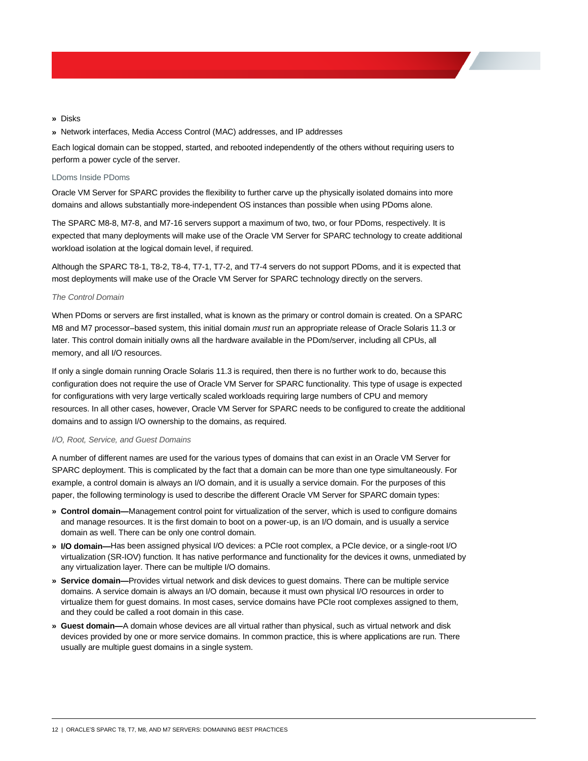- **»** Disks
- **»** Network interfaces, Media Access Control (MAC) addresses, and IP addresses

Each logical domain can be stopped, started, and rebooted independently of the others without requiring users to perform a power cycle of the server.

#### <span id="page-14-0"></span>LDoms Inside PDoms

Oracle VM Server for SPARC provides the flexibility to further carve up the physically isolated domains into more domains and allows substantially more-independent OS instances than possible when using PDoms alone.

The SPARC M8-8, M7-8, and M7-16 servers support a maximum of two, two, or four PDoms, respectively. It is expected that many deployments will make use of the Oracle VM Server for SPARC technology to create additional workload isolation at the logical domain level, if required.

Although the SPARC T8-1, T8-2, T8-4, T7-1, T7-2, and T7-4 servers do not support PDoms, and it is expected that most deployments will make use of the Oracle VM Server for SPARC technology directly on the servers.

#### *The Control Domain*

When PDoms or servers are first installed, what is known as the primary or control domain is created. On a SPARC M8 and M7 processor–based system, this initial domain *must* run an appropriate release of Oracle Solaris 11.3 or later. This control domain initially owns all the hardware available in the PDom/server, including all CPUs, all memory, and all I/O resources.

If only a single domain running Oracle Solaris 11.3 is required, then there is no further work to do, because this configuration does not require the use of Oracle VM Server for SPARC functionality. This type of usage is expected for configurations with very large vertically scaled workloads requiring large numbers of CPU and memory resources. In all other cases, however, Oracle VM Server for SPARC needs to be configured to create the additional domains and to assign I/O ownership to the domains, as required.

#### *I/O, Root, Service, and Guest Domains*

A number of different names are used for the various types of domains that can exist in an Oracle VM Server for SPARC deployment. This is complicated by the fact that a domain can be more than one type simultaneously. For example, a control domain is always an I/O domain, and it is usually a service domain. For the purposes of this paper, the following terminology is used to describe the different Oracle VM Server for SPARC domain types:

- **» Control domain—**Management control point for virtualization of the server, which is used to configure domains and manage resources. It is the first domain to boot on a power-up, is an I/O domain, and is usually a service domain as well. There can be only one control domain.
- **» I/O domain—**Has been assigned physical I/O devices: a PCIe root complex, a PCIe device, or a single-root I/O virtualization (SR-IOV) function. It has native performance and functionality for the devices it owns, unmediated by any virtualization layer. There can be multiple I/O domains.
- **» Service domain—**Provides virtual network and disk devices to guest domains. There can be multiple service domains. A service domain is always an I/O domain, because it must own physical I/O resources in order to virtualize them for guest domains. In most cases, service domains have PCIe root complexes assigned to them, and they could be called a root domain in this case.
- **» Guest domain—**A domain whose devices are all virtual rather than physical, such as virtual network and disk devices provided by one or more service domains. In common practice, this is where applications are run. There usually are multiple guest domains in a single system.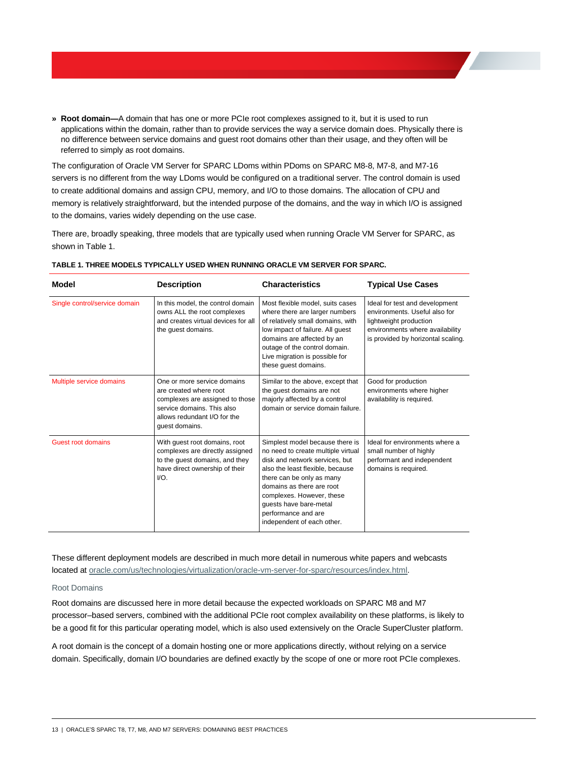**» Root domain—**A domain that has one or more PCIe root complexes assigned to it, but it is used to run applications within the domain, rather than to provide services the way a service domain does. Physically there is no difference between service domains and guest root domains other than their usage, and they often will be referred to simply as root domains.

The configuration of Oracle VM Server for SPARC LDoms within PDoms on SPARC M8-8, M7-8, and M7-16 servers is no different from the way LDoms would be configured on a traditional server. The control domain is used to create additional domains and assign CPU, memory, and I/O to those domains. The allocation of CPU and memory is relatively straightforward, but the intended purpose of the domains, and the way in which I/O is assigned to the domains, varies widely depending on the use case.

There are, broadly speaking, three models that are typically used when running Oracle VM Server for SPARC, as shown in Table 1.

| <b>Model</b>                  | <b>Description</b>                                                                                                                                                       | <b>Characteristics</b>                                                                                                                                                                                                                                                                                            | <b>Typical Use Cases</b>                                                                                                                                           |
|-------------------------------|--------------------------------------------------------------------------------------------------------------------------------------------------------------------------|-------------------------------------------------------------------------------------------------------------------------------------------------------------------------------------------------------------------------------------------------------------------------------------------------------------------|--------------------------------------------------------------------------------------------------------------------------------------------------------------------|
| Single control/service domain | In this model, the control domain<br>owns ALL the root complexes<br>and creates virtual devices for all<br>the guest domains.                                            | Most flexible model, suits cases<br>where there are larger numbers<br>of relatively small domains, with<br>low impact of failure. All quest<br>domains are affected by an<br>outage of the control domain.<br>Live migration is possible for<br>these quest domains.                                              | Ideal for test and development<br>environments. Useful also for<br>lightweight production<br>environments where availability<br>is provided by horizontal scaling. |
| Multiple service domains      | One or more service domains<br>are created where root<br>complexes are assigned to those<br>service domains. This also<br>allows redundant I/O for the<br>guest domains. | Similar to the above, except that<br>the quest domains are not<br>majorly affected by a control<br>domain or service domain failure.                                                                                                                                                                              | Good for production<br>environments where higher<br>availability is required.                                                                                      |
| <b>Guest root domains</b>     | With quest root domains, root<br>complexes are directly assigned<br>to the guest domains, and they<br>have direct ownership of their<br>$UO.$                            | Simplest model because there is<br>no need to create multiple virtual<br>disk and network services, but<br>also the least flexible, because<br>there can be only as many<br>domains as there are root<br>complexes. However, these<br>quests have bare-metal<br>performance and are<br>independent of each other. | Ideal for environments where a<br>small number of highly<br>performant and independent<br>domains is required.                                                     |

## **TABLE 1. THREE MODELS TYPICALLY USED WHEN RUNNING ORACLE VM SERVER FOR SPARC.**

These different deployment models are described in much more detail in numerous white papers and webcasts located a[t oracle.com/us/technologies/virtualization/oracle-vm-server-for-sparc/resources/index.html.](http://www.oracle.com/us/technologies/virtualization/oracle-vm-server-for-sparc/resources/index.html)

## <span id="page-15-0"></span>Root Domains

Root domains are discussed here in more detail because the expected workloads on SPARC M8 and M7 processor–based servers, combined with the additional PCIe root complex availability on these platforms, is likely to be a good fit for this particular operating model, which is also used extensively on the Oracle SuperCluster platform.

A root domain is the concept of a domain hosting one or more applications directly, without relying on a service domain. Specifically, domain I/O boundaries are defined exactly by the scope of one or more root PCIe complexes.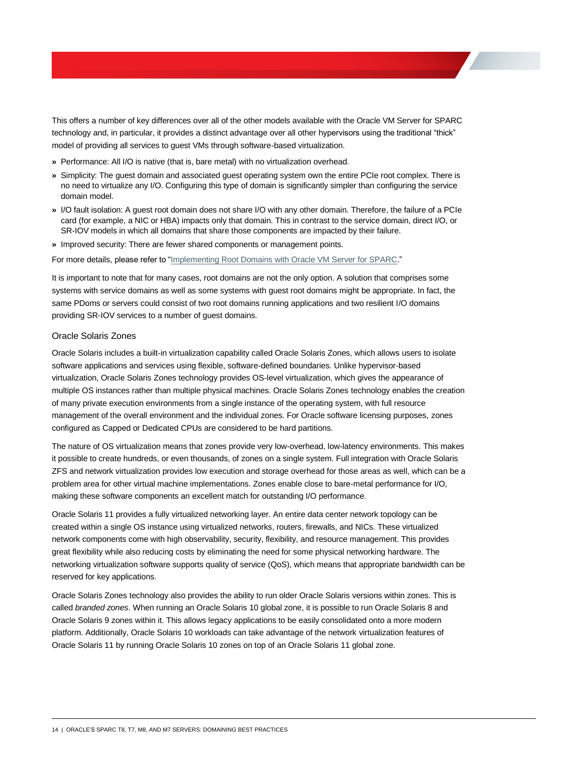This offers a number of key differences over all of the other models available with the Oracle VM Server for SPARC technology and, in particular, it provides a distinct advantage over all other hypervisors using the traditional "thick" model of providing all services to guest VMs through software-based virtualization.

- **»** Performance: All I/O is native (that is, bare metal) with no virtualization overhead.
- **»** Simplicity: The guest domain and associated guest operating system own the entire PCIe root complex. There is no need to virtualize any I/O. Configuring this type of domain is significantly simpler than configuring the service domain model.
- **»** I/O fault isolation: A guest root domain does not share I/O with any other domain. Therefore, the failure of a PCIe card (for example, a NIC or HBA) impacts only that domain. This in contrast to the service domain, direct I/O, or SR-IOV models in which all domains that share those components are impacted by their failure.
- **»** Improved security: There are fewer shared components or management points.

#### For more details, please refer to ["Implementing Root Domains with Oracle VM Server for SPARC."](http://www.oracle.com/technetwork/server-storage/vm/ovm-sparc-rootdomains-wp-1914481.pdf)

It is important to note that for many cases, root domains are not the only option. A solution that comprises some systems with service domains as well as some systems with guest root domains might be appropriate. In fact, the same PDoms or servers could consist of two root domains running applications and two resilient I/O domains providing SR-IOV services to a number of guest domains.

## <span id="page-16-0"></span>Oracle Solaris Zones

Oracle Solaris includes a built-in virtualization capability called Oracle Solaris Zones, which allows users to isolate software applications and services using flexible, software-defined boundaries. Unlike hypervisor-based virtualization, Oracle Solaris Zones technology provides OS-level virtualization, which gives the appearance of multiple OS instances rather than multiple physical machines. Oracle Solaris Zones technology enables the creation of many private execution environments from a single instance of the operating system, with full resource management of the overall environment and the individual zones. For Oracle software licensing purposes, zones configured as Capped or Dedicated CPUs are considered to be hard partitions.

The nature of OS virtualization means that zones provide very low-overhead, low-latency environments. This makes it possible to create hundreds, or even thousands, of zones on a single system. Full integration with Oracle Solaris ZFS and network virtualization provides low execution and storage overhead for those areas as well, which can be a problem area for other virtual machine implementations. Zones enable close to bare-metal performance for I/O, making these software components an excellent match for outstanding I/O performance.

Oracle Solaris 11 provides a fully virtualized networking layer. An entire data center network topology can be created within a single OS instance using virtualized networks, routers, firewalls, and NICs. These virtualized network components come with high observability, security, flexibility, and resource management. This provides great flexibility while also reducing costs by eliminating the need for some physical networking hardware. The networking virtualization software supports quality of service (QoS), which means that appropriate bandwidth can be reserved for key applications.

Oracle Solaris Zones technology also provides the ability to run older Oracle Solaris versions within zones. This is called *branded zones*. When running an Oracle Solaris 10 global zone, it is possible to run Oracle Solaris 8 and Oracle Solaris 9 zones within it. This allows legacy applications to be easily consolidated onto a more modern platform. Additionally, Oracle Solaris 10 workloads can take advantage of the network virtualization features of Oracle Solaris 11 by running Oracle Solaris 10 zones on top of an Oracle Solaris 11 global zone.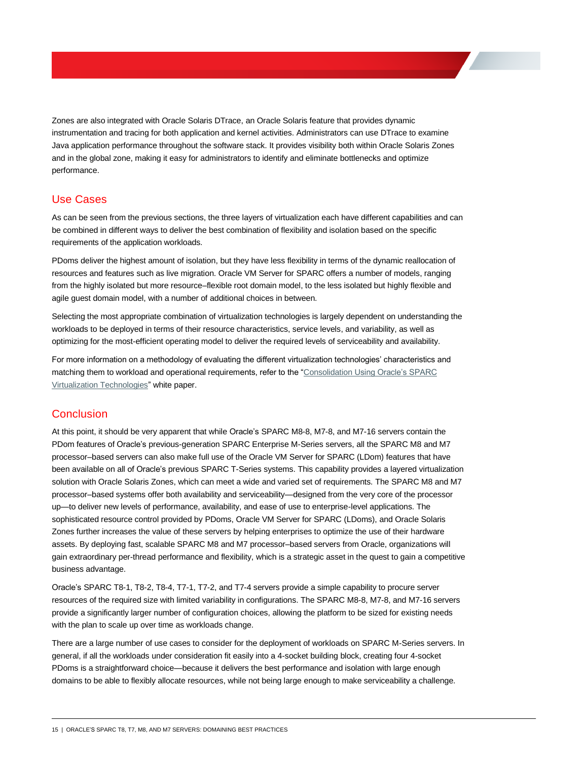Zones are also integrated with Oracle Solaris DTrace, an Oracle Solaris feature that provides dynamic instrumentation and tracing for both application and kernel activities. Administrators can use DTrace to examine Java application performance throughout the software stack. It provides visibility both within Oracle Solaris Zones and in the global zone, making it easy for administrators to identify and eliminate bottlenecks and optimize performance.

# <span id="page-17-0"></span>Use Cases

As can be seen from the previous sections, the three layers of virtualization each have different capabilities and can be combined in different ways to deliver the best combination of flexibility and isolation based on the specific requirements of the application workloads.

PDoms deliver the highest amount of isolation, but they have less flexibility in terms of the dynamic reallocation of resources and features such as live migration. Oracle VM Server for SPARC offers a number of models, ranging from the highly isolated but more resource–flexible root domain model, to the less isolated but highly flexible and agile guest domain model, with a number of additional choices in between.

Selecting the most appropriate combination of virtualization technologies is largely dependent on understanding the workloads to be deployed in terms of their resource characteristics, service levels, and variability, as well as optimizing for the most-efficient operating model to deliver the required levels of serviceability and availability.

For more information on a methodology of evaluating the different virtualization technologies' characteristics and matching them to workload and operational requirements, refer to the ["Consolidation Using Oracle's SPARC](http://www.oracle.com/technetwork/server-storage/sun-sparc-enterprise/technologies/consolidate-sparc-virtualization-2301718.pdf)  [Virtualization Technologies"](http://www.oracle.com/technetwork/server-storage/sun-sparc-enterprise/technologies/consolidate-sparc-virtualization-2301718.pdf) white paper.

# <span id="page-17-1"></span>**Conclusion**

At this point, it should be very apparent that while Oracle's SPARC M8-8, M7-8, and M7-16 servers contain the PDom features of Oracle's previous-generation SPARC Enterprise M-Series servers, all the SPARC M8 and M7 processor–based servers can also make full use of the Oracle VM Server for SPARC (LDom) features that have been available on all of Oracle's previous SPARC T-Series systems. This capability provides a layered virtualization solution with Oracle Solaris Zones, which can meet a wide and varied set of requirements. The SPARC M8 and M7 processor–based systems offer both availability and serviceability—designed from the very core of the processor up—to deliver new levels of performance, availability, and ease of use to enterprise-level applications. The sophisticated resource control provided by PDoms, Oracle VM Server for SPARC (LDoms), and Oracle Solaris Zones further increases the value of these servers by helping enterprises to optimize the use of their hardware assets. By deploying fast, scalable SPARC M8 and M7 processor–based servers from Oracle, organizations will gain extraordinary per-thread performance and flexibility, which is a strategic asset in the quest to gain a competitive business advantage.

Oracle's SPARC T8-1, T8-2, T8-4, T7-1, T7-2, and T7-4 servers provide a simple capability to procure server resources of the required size with limited variability in configurations. The SPARC M8-8, M7-8, and M7-16 servers provide a significantly larger number of configuration choices, allowing the platform to be sized for existing needs with the plan to scale up over time as workloads change.

There are a large number of use cases to consider for the deployment of workloads on SPARC M-Series servers. In general, if all the workloads under consideration fit easily into a 4-socket building block, creating four 4-socket PDoms is a straightforward choice—because it delivers the best performance and isolation with large enough domains to be able to flexibly allocate resources, while not being large enough to make serviceability a challenge.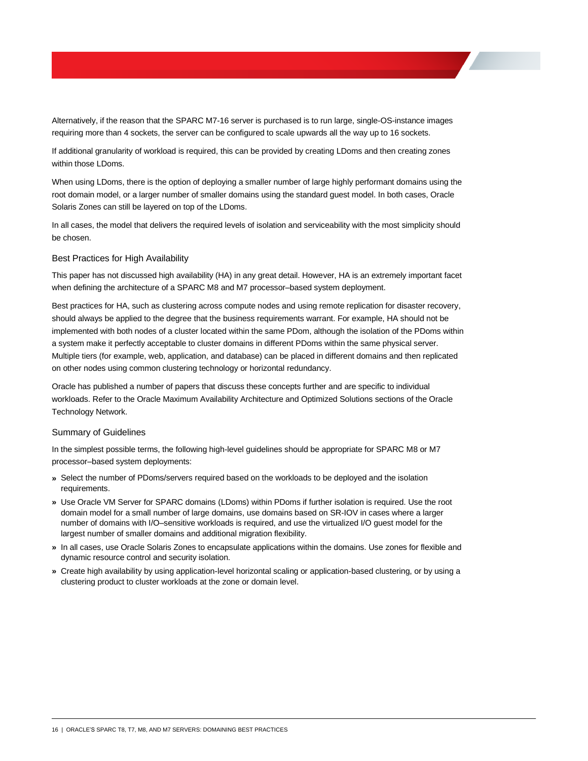Alternatively, if the reason that the SPARC M7-16 server is purchased is to run large, single-OS-instance images requiring more than 4 sockets, the server can be configured to scale upwards all the way up to 16 sockets.

If additional granularity of workload is required, this can be provided by creating LDoms and then creating zones within those LDoms.

When using LDoms, there is the option of deploying a smaller number of large highly performant domains using the root domain model, or a larger number of smaller domains using the standard guest model. In both cases, Oracle Solaris Zones can still be layered on top of the LDoms.

In all cases, the model that delivers the required levels of isolation and serviceability with the most simplicity should be chosen.

## <span id="page-18-0"></span>Best Practices for High Availability

This paper has not discussed high availability (HA) in any great detail. However, HA is an extremely important facet when defining the architecture of a SPARC M8 and M7 processor–based system deployment.

Best practices for HA, such as clustering across compute nodes and using remote replication for disaster recovery, should always be applied to the degree that the business requirements warrant. For example, HA should not be implemented with both nodes of a cluster located within the same PDom, although the isolation of the PDoms within a system make it perfectly acceptable to cluster domains in different PDoms within the same physical server. Multiple tiers (for example, web, application, and database) can be placed in different domains and then replicated on other nodes using common clustering technology or horizontal redundancy.

Oracle has published a number of papers that discuss these concepts further and are specific to individual workloads. Refer to the Oracle Maximum Availability Architecture and Optimized Solutions sections of the Oracle Technology Network.

#### <span id="page-18-1"></span>Summary of Guidelines

In the simplest possible terms, the following high-level guidelines should be appropriate for SPARC M8 or M7 processor–based system deployments:

- **»** Select the number of PDoms/servers required based on the workloads to be deployed and the isolation requirements.
- **»** Use Oracle VM Server for SPARC domains (LDoms) within PDoms if further isolation is required. Use the root domain model for a small number of large domains, use domains based on SR-IOV in cases where a larger number of domains with I/O–sensitive workloads is required, and use the virtualized I/O guest model for the largest number of smaller domains and additional migration flexibility.
- **»** In all cases, use Oracle Solaris Zones to encapsulate applications within the domains. Use zones for flexible and dynamic resource control and security isolation.
- **»** Create high availability by using application-level horizontal scaling or application-based clustering, or by using a clustering product to cluster workloads at the zone or domain level.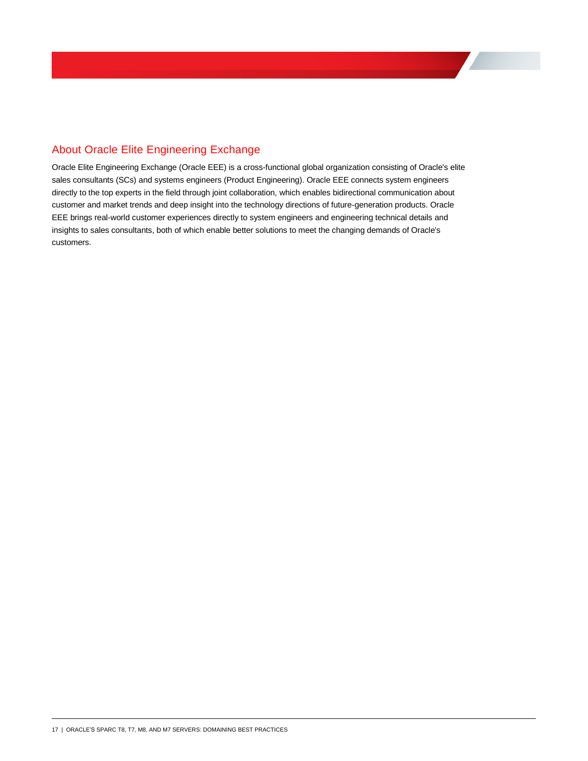# <span id="page-19-0"></span>About Oracle Elite Engineering Exchange

Oracle Elite Engineering Exchange (Oracle EEE) is a cross-functional global organization consisting of Oracle's elite sales consultants (SCs) and systems engineers (Product Engineering). Oracle EEE connects system engineers directly to the top experts in the field through joint collaboration, which enables bidirectional communication about customer and market trends and deep insight into the technology directions of future-generation products. Oracle EEE brings real-world customer experiences directly to system engineers and engineering technical details and insights to sales consultants, both of which enable better solutions to meet the changing demands of Oracle's customers.